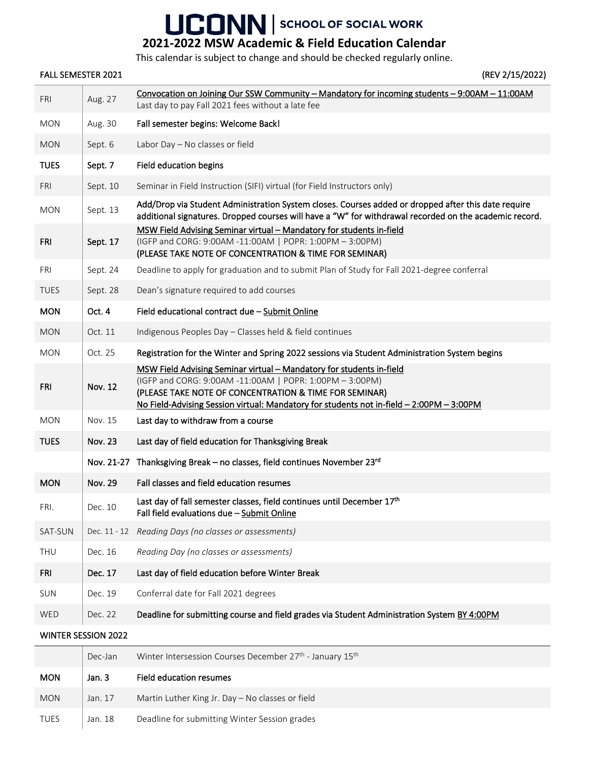## UCONN SCHOOL OF SOCIAL WORK

## **2021-2022 MSW Academic & Field Education Calendar**

This calendar is subject to change and should be checked regularly online.

## FALL SEMESTER 2021 (REV 2/15/2022)

| <b>FRI</b>                 | Aug. 27        | Convocation on Joining Our SSW Community - Mandatory for incoming students - 9:00AM - 11:00AM<br>Last day to pay Fall 2021 fees without a late fee                                                                                                                                     |  |  |  |
|----------------------------|----------------|----------------------------------------------------------------------------------------------------------------------------------------------------------------------------------------------------------------------------------------------------------------------------------------|--|--|--|
| <b>MON</b>                 | Aug. 30        | Fall semester begins: Welcome Back!                                                                                                                                                                                                                                                    |  |  |  |
| <b>MON</b>                 | Sept. 6        | Labor Day - No classes or field                                                                                                                                                                                                                                                        |  |  |  |
| <b>TUES</b>                | Sept. 7        | Field education begins                                                                                                                                                                                                                                                                 |  |  |  |
| <b>FRI</b>                 | Sept. 10       | Seminar in Field Instruction (SIFI) virtual (for Field Instructors only)                                                                                                                                                                                                               |  |  |  |
| <b>MON</b>                 | Sept. 13       | Add/Drop via Student Administration System closes. Courses added or dropped after this date require<br>additional signatures. Dropped courses will have a "W" for withdrawal recorded on the academic record.                                                                          |  |  |  |
| <b>FRI</b>                 | Sept. 17       | MSW Field Advising Seminar virtual - Mandatory for students in-field<br>(IGFP and CORG: 9:00AM -11:00AM   POPR: 1:00PM - 3:00PM)<br>(PLEASE TAKE NOTE OF CONCENTRATION & TIME FOR SEMINAR)                                                                                             |  |  |  |
| FRI                        | Sept. 24       | Deadline to apply for graduation and to submit Plan of Study for Fall 2021-degree conferral                                                                                                                                                                                            |  |  |  |
| <b>TUES</b>                | Sept. 28       | Dean's signature required to add courses                                                                                                                                                                                                                                               |  |  |  |
| <b>MON</b>                 | Oct. 4         | Field educational contract due - Submit Online                                                                                                                                                                                                                                         |  |  |  |
| <b>MON</b>                 | Oct. 11        | Indigenous Peoples Day - Classes held & field continues                                                                                                                                                                                                                                |  |  |  |
| <b>MON</b>                 | Oct. 25        | Registration for the Winter and Spring 2022 sessions via Student Administration System begins                                                                                                                                                                                          |  |  |  |
| FRI                        | <b>Nov. 12</b> | MSW Field Advising Seminar virtual - Mandatory for students in-field<br>(IGFP and CORG: 9:00AM -11:00AM   POPR: 1:00PM - 3:00PM)<br>(PLEASE TAKE NOTE OF CONCENTRATION & TIME FOR SEMINAR)<br>No Field-Advising Session virtual: Mandatory for students not in-field - 2:00PM - 3:00PM |  |  |  |
| <b>MON</b>                 | Nov. 15        | Last day to withdraw from a course                                                                                                                                                                                                                                                     |  |  |  |
| <b>TUES</b>                | <b>Nov. 23</b> | Last day of field education for Thanksgiving Break                                                                                                                                                                                                                                     |  |  |  |
|                            | Nov. 21-27     | Thanksgiving Break - no classes, field continues November 23rd                                                                                                                                                                                                                         |  |  |  |
| <b>MON</b>                 | <b>Nov. 29</b> | Fall classes and field education resumes                                                                                                                                                                                                                                               |  |  |  |
| FRI.                       | Dec. 10        | Last day of fall semester classes, field continues until December 17th<br>Fall field evaluations due - Submit Online                                                                                                                                                                   |  |  |  |
| SAT-SUN                    | Dec. 11 - 12   | Reading Days (no classes or assessments)                                                                                                                                                                                                                                               |  |  |  |
| THU                        | Dec. 16        | Reading Day (no classes or assessments)                                                                                                                                                                                                                                                |  |  |  |
| <b>FRI</b>                 | Dec. 17        | Last day of field education before Winter Break                                                                                                                                                                                                                                        |  |  |  |
| SUN                        | Dec. 19        | Conferral date for Fall 2021 degrees                                                                                                                                                                                                                                                   |  |  |  |
| WED                        | Dec. 22        | Deadline for submitting course and field grades via Student Administration System BY 4:00PM                                                                                                                                                                                            |  |  |  |
| <b>WINTER SESSION 2022</b> |                |                                                                                                                                                                                                                                                                                        |  |  |  |
|                            |                |                                                                                                                                                                                                                                                                                        |  |  |  |

|             | Dec-Jan | Winter Intersession Courses December 27 <sup>th</sup> - January 15 <sup>th</sup> |
|-------------|---------|----------------------------------------------------------------------------------|
| <b>MON</b>  | Jan. 3  | Field education resumes                                                          |
| <b>MON</b>  | Jan. 17 | Martin Luther King Jr. Day $-$ No classes or field                               |
| <b>TUES</b> | Jan. 18 | Deadline for submitting Winter Session grades                                    |